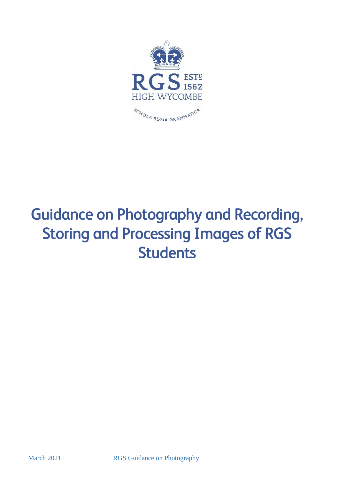

# Guidance on Photography and Recording, Storing and Processing Images of RGS **Students**